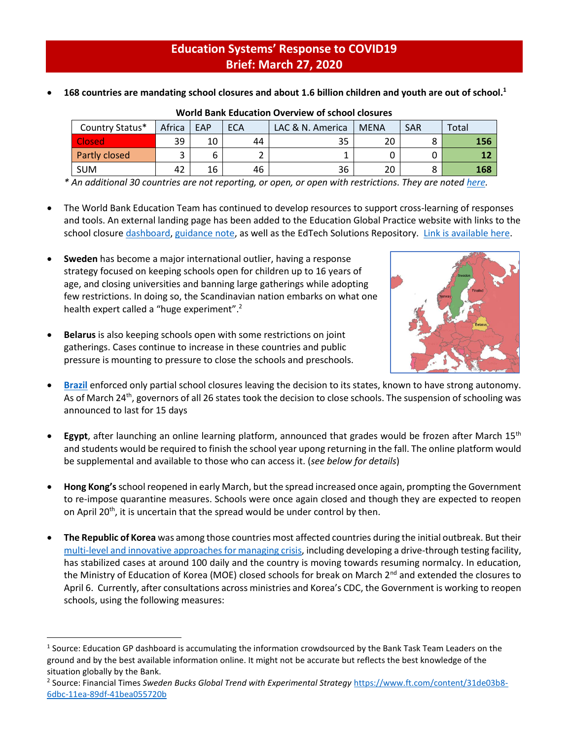## **Education Systems' Response to COVID19 Brief: March 27, 2020**

|  | 168 countries are mandating school closures and about 1.6 billion children and youth are out of school. $1$ |  |  |  |
|--|-------------------------------------------------------------------------------------------------------------|--|--|--|
|--|-------------------------------------------------------------------------------------------------------------|--|--|--|

| Country Status* | Africa | EAP | <b>ECA</b> | LAC & N. America | <b>MENA</b> | <b>SAR</b> | Total |
|-----------------|--------|-----|------------|------------------|-------------|------------|-------|
| <b>Closed</b>   | 39     | 10  | 44         | 35               | 20          |            | 156   |
| Partly closed   |        |     |            |                  |             |            |       |
| <b>SUM</b>      | 42     | 16  | 46         | 36               | 20          |            | 168   |

## **World Bank Education Overview of school closures**

*\* An additional 30 countries are not reporting, or open, or open with restrictions. They are note[d here.](https://tab.worldbank.org/#/site/WBG/views/covid19/dsh_simple?:display_count=n&:showVizHome=n&:origin=viz_share_link&:iid=1)*

- The World Bank Education Team has continued to develop resources to support cross-learning of responses and tools. An external landing page has been added to the Education Global Practice website with links to the school closur[e dashboard,](https://tab.worldbank.org/#/site/WBG/views/covid19/dsh_covid19_timetrend/wb255520%40wb%2ead%2eworldbank%2eorg/5816deda%2d5a7e%2d419d%2db6e7%2d7d90596041aa?:display_count=n&:showVizHome=n&:origin=viz_share_link&:iid=2&) [guidance note,](http://pubdocs.worldbank.org/en/450881585235950757/COVID19-Education-Sector-Guidance-Note-March26.pdf) as well as the EdTech Solutions Repository. [Link is available here.](https://www.worldbank.org/en/data/interactive/2020/03/24/world-bank-education-and-covid-19)
- **Sweden** has become a major international outlier, having a response strategy focused on keeping schools open for children up to 16 years of age, and closing universities and banning large gatherings while adopting few restrictions. In doing so, the Scandinavian nation embarks on what one health expert called a "huge experiment".<sup>2</sup>
- **Belarus** is also keeping schools open with some restrictions on joint gatherings. Cases continue to increase in these countries and public pressure is mounting to pressure to close the schools and preschools.

 $\overline{a}$ 



- **[Brazil](https://consed.blog/about/)** enforced only partial school closures leaving the decision to its states, known to have strong autonomy. As of March 24<sup>th</sup>, governors of all 26 states took the decision to close schools. The suspension of schooling was announced to last for 15 days
- **Egypt**, after launching an online learning platform, announced that grades would be frozen after March 15<sup>th</sup> and students would be required to finish the school year upong returning in the fall. The online platform would be supplemental and available to those who can access it. (*see below for details*)
- **Hong Kong's**school reopened in early March, but the spread increased once again, prompting the Government to re-impose quarantine measures. Schools were once again closed and though they are expected to reopen on April 20<sup>th</sup>, it is uncertain that the spread would be under control by then.
- **The Republic of Korea** was among those countries most affected countries during the initial outbreak. But their [multi-level and innovative approaches for managing crisis,](https://blogs.worldbank.org/eastasiapacific/koreas-response-covid-19-early-lessons-tackling-pandemic) including developing a drive-through testing facility, has stabilized cases at around 100 daily and the country is moving towards resuming normalcy. In education, the Ministry of Education of Korea (MOE) closed schools for break on March 2<sup>nd</sup> and extended the closures to April 6. Currently, after consultations across ministries and Korea's CDC, the Government is working to reopen schools, using the following measures:

<sup>&</sup>lt;sup>1</sup> Source: Education GP dashboard is accumulating the information crowdsourced by the Bank Task Team Leaders on the ground and by the best available information online. It might not be accurate but reflects the best knowledge of the situation globally by the Bank.

<sup>2</sup> Source: Financial Times *Sweden Bucks Global Trend with Experimental Strategy* [https://www.ft.com/content/31de03b8-](https://www.ft.com/content/31de03b8-6dbc-11ea-89df-41bea055720b) [6dbc-11ea-89df-41bea055720b](https://www.ft.com/content/31de03b8-6dbc-11ea-89df-41bea055720b)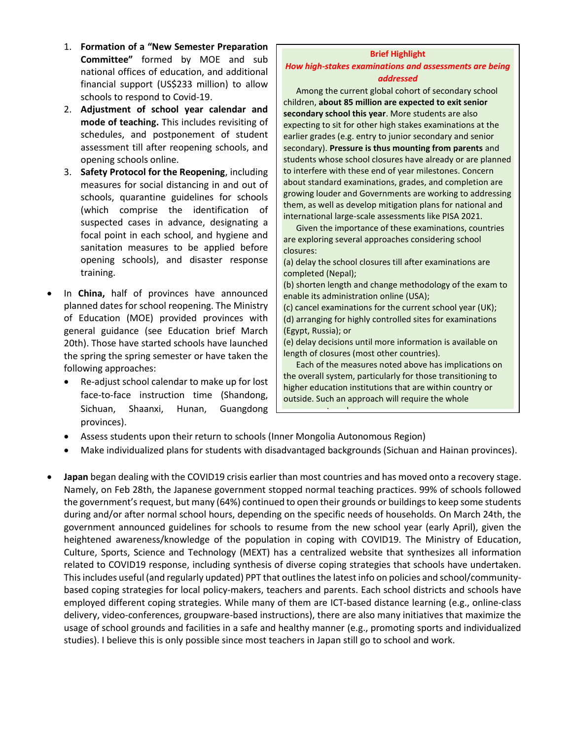- 1. **Formation of a "New Semester Preparation Committee"** formed by MOE and sub national offices of education, and additional financial support (US\$233 million) to allow schools to respond to Covid-19.
- 2. **Adjustment of school year calendar and mode of teaching.** This includes revisiting of schedules, and postponement of student assessment till after reopening schools, and opening schools online.
- 3. **Safety Protocol for the Reopening**, including measures for social distancing in and out of schools, quarantine guidelines for schools (which comprise the identification of suspected cases in advance, designating a focal point in each school, and hygiene and sanitation measures to be applied before opening schools), and disaster response training.
- In **China,** half of provinces have announced planned dates for school reopening. The Ministry of Education (MOE) provided provinces with general guidance (see Education brief March 20th). Those have started schools have launched the spring the spring semester or have taken the following approaches:
	- Re-adjust school calendar to make up for lost face-to-face instruction time (Shandong, Sichuan, Shaanxi, Hunan, Guangdong provinces).

## **Brief Highlight**

## *How high-stakes examinations and assessments are being addressed*

Among the current global cohort of secondary school children, **about 85 million are expected to exit senior secondary school this year**. More students are also expecting to sit for other high stakes examinations at the earlier grades (e.g. entry to junior secondary and senior secondary). **Pressure is thus mounting from parents** and students whose school closures have already or are planned to interfere with these end of year milestones. Concern about standard examinations, grades, and completion are growing louder and Governments are working to addressing them, as well as develop mitigation plans for national and international large-scale assessments like PISA 2021.

Given the importance of these examinations, countries are exploring several approaches considering school closures:

(a) delay the school closures till after examinations are completed (Nepal);

(b) shorten length and change methodology of the exam to enable its administration online (USA);

(c) cancel examinations for the current school year (UK); (d) arranging for highly controlled sites for examinations (Egypt, Russia); or

(e) delay decisions until more information is available on length of closures (most other countries).

Each of the measures noted above has implications on the overall system, particularly for those transitioning to higher education institutions that are within country or outside. Such an approach will require the whole

- Assess students upon their return to schools (Inner Mongolia Autonomous Region)
- Make individualized plans for students with disadvantaged backgrounds (Sichuan and Hainan provinces).

government work.

• **Japan** began dealing with the COVID19 crisis earlier than most countries and has moved onto a recovery stage. Namely, on Feb 28th, the Japanese government stopped normal teaching practices. 99% of schools followed the government's request, but many (64%) continued to open their grounds or buildingsto keep some students during and/or after normal school hours, depending on the specific needs of households. On March 24th, the government announced [guidelines](https://www.mext.go.jp/a_menu/coronavirus/index_00007.html) for schools to resume from the new school year (early April), given the heightened awareness/knowledge of the population in coping with COVID19. The Ministry of Education, Culture, Sports, Science and Technology (MEXT) has a [centralized website](https://www.mext.go.jp/a_menu/coronavirus/index.html) that synthesizes all information related to COVID19 response, including synthesis of diverse coping strategies that schools have undertaken. This includes useful (and regularly updated[\) PPT](https://www.mext.go.jp/content/20200319-mxt_kouhou02-000004520_1.pdf) that outlines the latest info on policies and school/communitybased coping strategies for local policy-makers, teachers and parents. Each school districts and schools have employed different coping strategies. While many of them are ICT-based distance learning (e.g., online-class delivery, video-conferences, groupware-based instructions), there are also many initiatives that maximize the usage of school grounds and facilities in a safe and healthy manner (e.g., promoting sports and individualized studies). I believe this is only possible since most teachers in Japan still go to school and work.